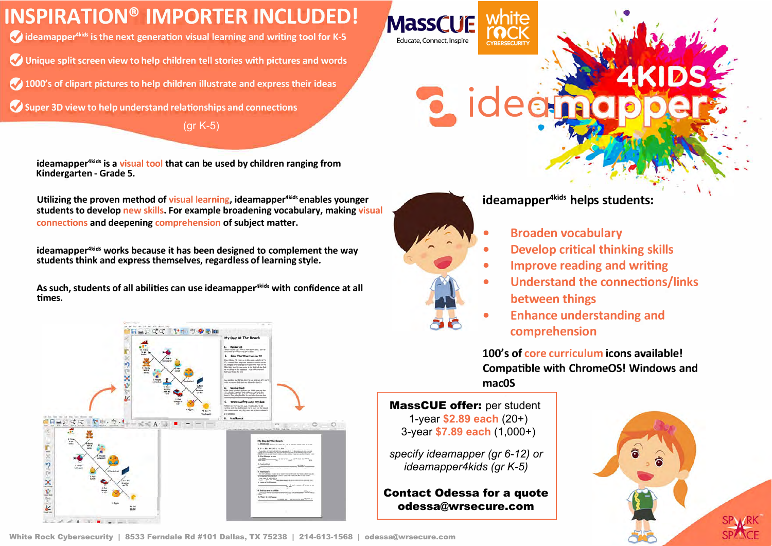## **INSPIRATION® IMPORTER INCLUDED!**

 $\blacklozenge$  ideamapper<sup>4kids</sup> is the next generation visual learning and writing tool for K-5

**� Unique split screen view to help children tell stories with pictures and words** 

 $\bullet$  1000's of clipart pictures to help children illustrate and express their ideas

**� Super 3D view to help understand relationships and connections** 

(gr K-5)

**ideamapper<sup>4kids</sup> is a visual tool that can be used by children ranging from Kindergarten - Grade 5.** 

**Utilizing the proven method of visual learning, ideamapper4 kid•enables younger students to develop new skills. For example broadening vocabulary, making visual connections and deepening comprehension of subject matter.** 

**ideamapper4kids works because it has been designed to complement the way students think and express themselves, regardless of learning style.** 

As such, students of all abilities can use ideamapper<sup>4kids</sup> with confidence at all **times.** 







ide



### **ideamapper4kids helps students:**

- **• Broaden vocabulary**
- **• Develop critical thinking skills**
- **• Improve reading and writing**
- **• Understand the connections/links between things**
- **• Enhance understanding and comprehension**

**l00's of core curriculum icons available! Compatible with ChromeOS! Windows and mac0S** 

MassCUE offer: per student 1-year **\$2.89 each** (20+) 3-year **\$7.89 each** (1,000+)

*specify ideamapper (gr 6-12) or ideamapper4kids (gr K-5)*

Contact Odessa for a quote odessa@wrsecure.com



 $\mathbf{I}$